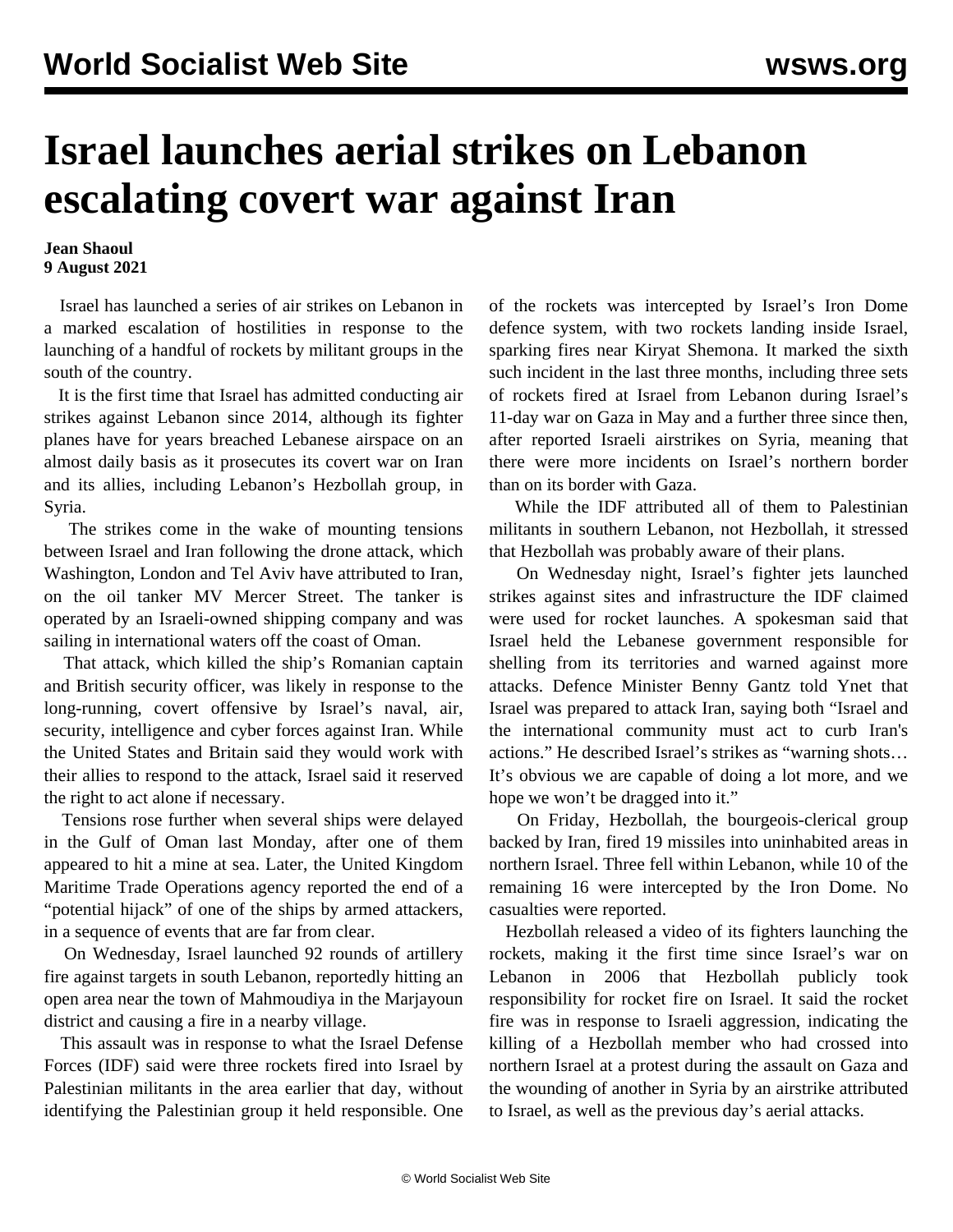## **Israel launches aerial strikes on Lebanon escalating covert war against Iran**

## **Jean Shaoul 9 August 2021**

 Israel has launched a series of air strikes on Lebanon in a marked escalation of hostilities in response to the launching of a handful of rockets by militant groups in the south of the country.

 It is the first time that Israel has admitted conducting air strikes against Lebanon since 2014, although its fighter planes have for years breached Lebanese airspace on an almost daily basis as it prosecutes its covert war on Iran and its allies, including Lebanon's Hezbollah group, in Syria.

 The strikes come in the wake of mounting tensions between Israel and Iran following the drone attack, which Washington, London and Tel Aviv have attributed to Iran, on the oil tanker MV Mercer Street. The tanker is operated by an Israeli-owned shipping company and was sailing in international waters off the coast of Oman.

 That attack, which killed the ship's Romanian captain and British security officer, was likely in response to the long-running, covert offensive by Israel's naval, air, security, intelligence and cyber forces against Iran. While the United States and Britain said they would work with their allies to respond to the attack, Israel said it reserved the right to act alone if necessary.

 Tensions rose further when several ships were delayed in the Gulf of Oman last Monday, after one of them appeared to hit a mine at sea. Later, the United Kingdom Maritime Trade Operations agency reported the end of a "potential hijack" of one of the ships by armed attackers, in a sequence of events that are far from clear.

 On Wednesday, Israel launched 92 rounds of artillery fire against targets in south Lebanon, reportedly hitting an open area near the town of Mahmoudiya in the Marjayoun district and causing a fire in a nearby village.

 This assault was in response to what the Israel Defense Forces (IDF) said were three rockets fired into Israel by Palestinian militants in the area earlier that day, without identifying the Palestinian group it held responsible. One of the rockets was intercepted by Israel's Iron Dome defence system, with two rockets landing inside Israel, sparking fires near Kiryat Shemona. It marked the sixth such incident in the last three months, including three sets of rockets fired at Israel from Lebanon during Israel's 11-day war on Gaza in May and a further three since then, after reported Israeli airstrikes on Syria, meaning that there were more incidents on Israel's northern border than on its border with Gaza.

 While the IDF attributed all of them to Palestinian militants in southern Lebanon, not Hezbollah, it stressed that Hezbollah was probably aware of their plans.

 On Wednesday night, Israel's fighter jets launched strikes against sites and infrastructure the IDF claimed were used for rocket launches. A spokesman said that Israel held the Lebanese government responsible for shelling from its territories and warned against more attacks. Defence Minister Benny Gantz told Ynet that Israel was prepared to attack Iran, saying both "Israel and the international community must act to curb Iran's actions." He described Israel's strikes as "warning shots… It's obvious we are capable of doing a lot more, and we hope we won't be dragged into it."

 On Friday, Hezbollah, the bourgeois-clerical group backed by Iran, fired 19 missiles into uninhabited areas in northern Israel. Three fell within Lebanon, while 10 of the remaining 16 were intercepted by the Iron Dome. No casualties were reported.

 Hezbollah released a video of its fighters launching the rockets, making it the first time since Israel's war on Lebanon in 2006 that Hezbollah publicly took responsibility for rocket fire on Israel. It said the rocket fire was in response to Israeli aggression, indicating the killing of a Hezbollah member who had crossed into northern Israel at a protest during the assault on Gaza and the wounding of another in Syria by an airstrike attributed to Israel, as well as the previous day's aerial attacks.